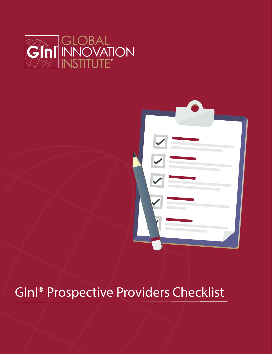



## GInI® Prospective Providers Checklist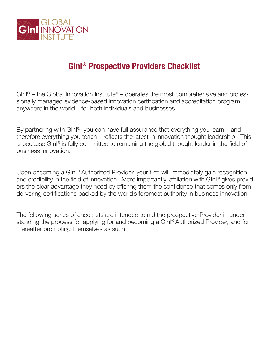

## **GInI® Prospective Providers Checklist**

 $G\ln\sqrt{9}$  – the Global Innovation Institute $\sqrt[6]{8}$  – operates the most comprehensive and professionally managed evidence-based innovation certification and accreditation program anywhere in the world – for both individuals and businesses.

By partnering with GInI<sup>®</sup>, you can have full assurance that everything you learn – and therefore everything you teach – reflects the latest in innovation thought leadership. This is because GInI® is fully committed to remaining the global thought leader in the field of business innovation.

Upon becoming a GInI ®Authorized Provider, your firm will immediately gain recognition and credibility in the field of innovation. More importantly, affiliation with GInI<sup>®</sup> gives providers the clear advantage they need by offering them the confidence that comes only from delivering certifications backed by the world's foremost authority in business innovation.

The following series of checklists are intended to aid the prospective Provider in understanding the process for applying for and becoming a GInI® Authorized Provider, and for thereafter promoting themselves as such.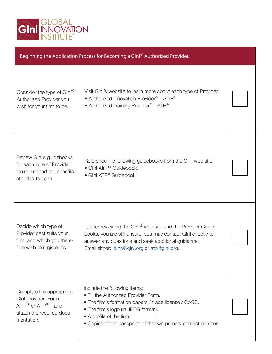

| Beginning the Application Process for Becoming a GInl® Authorized Provider.                                                                    |                                                                                                                                                                                                                                                                   |  |  |  |
|------------------------------------------------------------------------------------------------------------------------------------------------|-------------------------------------------------------------------------------------------------------------------------------------------------------------------------------------------------------------------------------------------------------------------|--|--|--|
| Consider the type of GInl®<br>Authorized Provider you<br>wish for your firm to be.                                                             | Visit GInI's website to learn more about each type of Provider.<br>• Authorized Innovation Provider® - AlnP®<br>• Authorized Training Provider® - ATP®                                                                                                            |  |  |  |
| Review Glnl's guidebooks<br>for each type of Provider<br>to understand the benefits<br>afforded to each.                                       | Reference the following guidebooks from the GInI web site:<br>• Ginl AinP® Guidebook.<br>• GInI ATP® Guidebook.                                                                                                                                                   |  |  |  |
| Decide which type of<br>Provider best suits your<br>firm, and which you there-<br>fore wish to register as.                                    | If, after reviewing the GInl® web site and the Provider Guide-<br>books, you are still unsure, you may contact GInI directly to<br>answer any questions and seek additional guidance.<br>Email either: ainp@gini.org or atp@gini.org.                             |  |  |  |
| Complete the appropriate<br>GInl Provider Form -<br>AlnP $^{\circledR}$ or ATP $^{\circledR}$ – and<br>attach the required docu-<br>mentation. | Include the following items:<br>• Fill the Authorized Provider Form.<br>• The firm's formation papers / trade license / CoGS.<br>• The firm's logo (in JPEG format).<br>• A profile of the firm.<br>• Copies of the passports of the two primary contact persons. |  |  |  |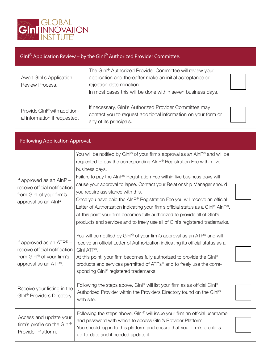

| Glnl <sup>®</sup> Application Review – by the Glnl <sup>®</sup> Authorized Provider Committee. |                                                                                                                                                                                                                             |  |  |  |
|------------------------------------------------------------------------------------------------|-----------------------------------------------------------------------------------------------------------------------------------------------------------------------------------------------------------------------------|--|--|--|
| Await Glnl's Application<br>Review Process.                                                    | The GInl <sup>®</sup> Authorized Provider Committee will review your<br>application and thereafter make an initial acceptance or<br>rejection determination.<br>In most cases this will be done within seven business days. |  |  |  |
| Provide GInl <sup>®</sup> with addition-<br>al information if requested.                       | If necessary, GInI's Authorized Provider Committee may<br>contact you to request additional information on your form or<br>any of its principals.                                                                           |  |  |  |

| <b>Following Application Approval.</b>                                                                           |                                                                                                                                                                                                                                                                                                                                                                                                                                                                                                                                                                                                                                                                                                    |  |  |  |
|------------------------------------------------------------------------------------------------------------------|----------------------------------------------------------------------------------------------------------------------------------------------------------------------------------------------------------------------------------------------------------------------------------------------------------------------------------------------------------------------------------------------------------------------------------------------------------------------------------------------------------------------------------------------------------------------------------------------------------------------------------------------------------------------------------------------------|--|--|--|
| If approved as an AInP -<br>receive official notification<br>from GInI of your firm's<br>approval as an AlnP.    | You will be notified by GInl® of your firm's approval as an AInP® and will be<br>requested to pay the corresponding AlnP® Registration Fee within five<br>business days.<br>Failure to pay the AInP® Registration Fee within five business days will<br>cause your approval to lapse. Contact your Relationship Manager should<br>you require assistance with this.<br>Once you have paid the AlnP® Registration Fee you will receive an official<br>Letter of Authorization indicating your firm's official status as a Glnl® AlnP®.<br>At this point your firm becomes fully authorized to provide all of GInI's<br>products and services and to freely use all of GlnI's registered trademarks. |  |  |  |
| If approved as an ATP® $-$<br>receive official notification<br>from GInl® of your firm's<br>approval as an ATP®. | You will be notified by GInl® of your firm's approval as an ATP® and will<br>receive an official Letter of Authorization indicating its official status as a<br>$G\ln ATP^{\circledast}$ .<br>At this point, your firm becomes fully authorized to provide the Glnl®<br>products and services permitted of ATPs® and to freely use the corre-<br>sponding GInl® registered trademarks.                                                                                                                                                                                                                                                                                                             |  |  |  |
| Receive your listing in the<br>GInl <sup>®</sup> Providers Directory.                                            | Following the steps above, Glnl® will list your firm as as official Glnl®<br>Authorized Provider within the Providers Directory found on the Glnl®<br>web site.                                                                                                                                                                                                                                                                                                                                                                                                                                                                                                                                    |  |  |  |
| Access and update your<br>firm's profile on the GInl®<br>Provider Platform.                                      | Following the steps above, $G\ln\sqrt{ }$ will issue your firm an official username<br>and password with which to access Glnl's Provider Platform.<br>You should log in to this platform and ensure that your firm's profile is<br>up-to-date and if needed update it.                                                                                                                                                                                                                                                                                                                                                                                                                             |  |  |  |